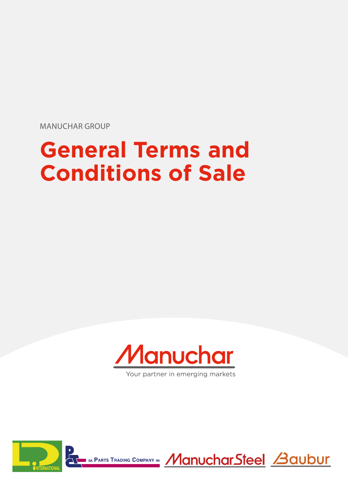MANUCHAR GROUP

# **General Terms and Conditions of Sale**



Your partner in emerging markets



I SA PARTS TRADING COMPANY NY MUCHAICHAIRS TO BE ACUDUL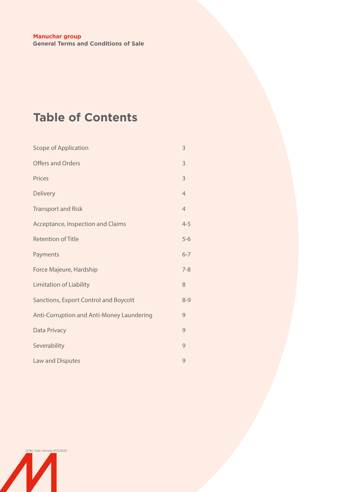# **Table of Contents**

| <b>Scope of Application</b>               | 3              |
|-------------------------------------------|----------------|
| <b>Offers and Orders</b>                  | 3              |
| Prices                                    | 3              |
| <b>Delivery</b>                           | $\overline{4}$ |
| <b>Transport and Risk</b>                 | $\overline{4}$ |
| Acceptance, Inspection and Claims         | $4 - 5$        |
| <b>Retention of Title</b>                 | $5-6$          |
| Payments                                  | $6 - 7$        |
| Force Majeure, Hardship                   | $7 - 8$        |
| <b>Limitation of Liability</b>            | 8              |
| Sanctions, Export Control and Boycott     | $8 - 9$        |
| Anti-Corruption and Anti-Money Laundering | 9              |
| Data Privacy                              | 9              |
| Severability                              | 9              |
| <b>Law and Disputes</b>                   | 9              |

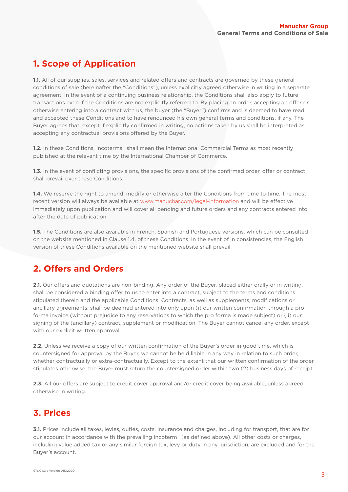# <span id="page-2-0"></span>**1. Scope of Application**

**1.1.** All of our supplies, sales, services and related offers and contracts are governed by these general conditions of sale (hereinafter the "Conditions"), unless explicitly agreed otherwise in writing in a separate agreement. In the event of a continuing business relationship, the Conditions shall also apply to future transactions even if the Conditions are not explicitly referred to. By placing an order, accepting an offer or otherwise entering into a contract with us, the buyer (the "Buyer") confirms and is deemed to have read and accepted these Conditions and to have renounced his own general terms and conditions, if any. The Buyer agrees that, except if explicitly confirmed in writing, no actions taken by us shall be interpreted as accepting any contractual provisions offered by the Buyer.

**1.2.** In these Conditions, Incoterms shall mean the International Commercial Terms as most recently published at the relevant time by the International Chamber of Commerce.

**1.3.** In the event of conflicting provisions, the specific provisions of the confirmed order, offer or contract shall prevail over these Conditions.

**1.4.** We reserve the right to amend, modify or otherwise alter the Conditions from time to time. The most recent version will always be available at [www.manuchar.com/legal-information](http://www.manuchar.com/legal-information) and will be effective immediately upon publication and will cover all pending and future orders and any contracts entered into after the date of publication.

**1.5.** The Conditions are also available in French, Spanish and Portuguese versions, which can be consulted on the website mentioned in Clause 1.4. of these Conditions. In the event of in consistencies, the English version of these Conditions available on the mentioned website shall prevail.

# **2. Offers and Orders**

**2.1**. Our offers and quotations are non-binding. Any order of the Buyer, placed either orally or in writing, shall be considered a binding offer to us to enter into a contract, subject to the terms and conditions stipulated therein and the applicable Conditions. Contracts, as well as supplements, modifications or ancillary agreements, shall be deemed entered into only upon (i) our written confirmation through a pro forma invoice (without prejudice to any reservations to which the pro forma is made subject) or (ii) our signing of the (ancillary) contract, supplement or modification. The Buyer cannot cancel any order, except with our explicit written approval.

**2.2.** Unless we receive a copy of our written confirmation of the Buyer's order in good time, which is countersigned for approval by the Buyer, we cannot be held liable in any way in relation to such order, whether contractually or extra-contractually. Except to the extent that our written confirmation of the order stipulates otherwise, the Buyer must return the countersigned order within two (2) business days of receipt.

**2.3.** All our offers are subject to credit cover approval and/or credit cover being available, unless agreed otherwise in writing.

# **3. Prices**

**3.1.** Prices include all taxes, levies, duties, costs, insurance and charges, including for transport, that are for our account in accordance with the prevailing Incoterm (as defined above). All other costs or charges, including value added tax or any similar foreign tax, levy or duty in any jurisdiction, are excluded and for the Buyer's account.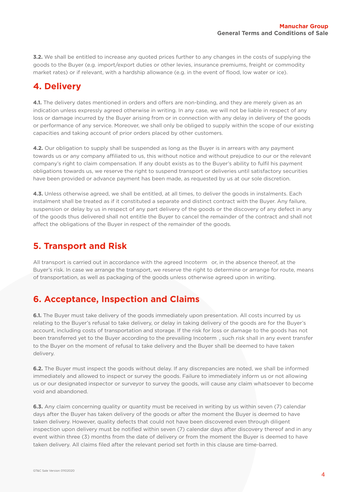<span id="page-3-0"></span>**3.2.** We shall be entitled to increase any quoted prices further to any changes in the costs of supplying the goods to the Buyer (e.g. import/export duties or other levies, insurance premiums, freight or commodity market rates) or if relevant, with a hardship allowance (e.g. in the event of flood, low water or ice).

#### **4. Delivery**

**4.1.** The delivery dates mentioned in orders and offers are non-binding, and they are merely given as an indication unless expressly agreed otherwise in writing. In any case, we will not be liable in respect of any loss or damage incurred by the Buyer arising from or in connection with any delay in delivery of the goods or performance of any service. Moreover, we shall only be obliged to supply within the scope of our existing capacities and taking account of prior orders placed by other customers.

**4.2.** Our obligation to supply shall be suspended as long as the Buyer is in arrears with any payment towards us or any company affiliated to us, this without notice and without prejudice to our or the relevant company's right to claim compensation. If any doubt exists as to the Buyer's ability to fulfil his payment obligations towards us, we reserve the right to suspend transport or deliveries until satisfactory securities have been provided or advance payment has been made, as requested by us at our sole discretion.

**4.3.** Unless otherwise agreed, we shall be entitled, at all times, to deliver the goods in instalments. Each instalment shall be treated as if it constituted a separate and distinct contract with the Buyer. Any failure, suspension or delay by us in respect of any part delivery of the goods or the discovery of any defect in any of the goods thus delivered shall not entitle the Buyer to cancel the remainder of the contract and shall not affect the obligations of the Buyer in respect of the remainder of the goods.

#### **5. Transport and Risk**

All transport is carried out in accordance with the agreed Incoterm or, in the absence thereof, at the Buyer's risk. In case we arrange the transport, we reserve the right to determine or arrange for route, means of transportation, as well as packaging of the goods unless otherwise agreed upon in writing.

# **6. Acceptance, Inspection and Claims**

**6.1.** The Buyer must take delivery of the goods immediately upon presentation. All costs incurred by us relating to the Buyer's refusal to take delivery, or delay in taking delivery of the goods are for the Buyer's account, including costs of transportation and storage. If the risk for loss or damage to the goods has not been transferred yet to the Buyer according to the prevailing Incoterm , such risk shall in any event transfer to the Buyer on the moment of refusal to take delivery and the Buyer shall be deemed to have taken delivery.

**6.2.** The Buyer must inspect the goods without delay. If any discrepancies are noted, we shall be informed immediately and allowed to inspect or survey the goods. Failure to immediately inform us or not allowing us or our designated inspector or surveyor to survey the goods, will cause any claim whatsoever to become void and abandoned.

**6.3.** Any claim concerning quality or quantity must be received in writing by us within seven (7) calendar days after the Buyer has taken delivery of the goods or after the moment the Buyer is deemed to have taken delivery. However, quality defects that could not have been discovered even through diligent inspection upon delivery must be notified within seven (7) calendar days after discovery thereof and in any event within three (3) months from the date of delivery or from the moment the Buyer is deemed to have taken delivery. All claims filed after the relevant period set forth in this clause are time-barred.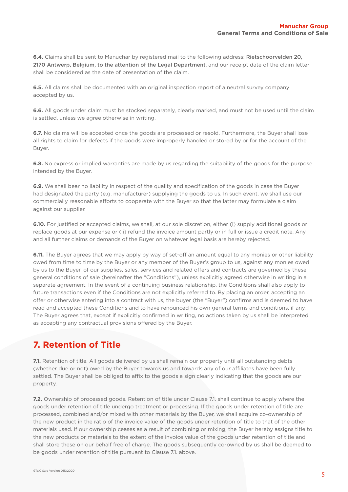<span id="page-4-0"></span>**6.4.** Claims shall be sent to Manuchar by registered mail to the following address: Rietschoorvelden 20, 2170 Antwerp, Belgium, to the attention of the Legal Department, and our receipt date of the claim letter shall be considered as the date of presentation of the claim.

**6.5.** All claims shall be documented with an original inspection report of a neutral survey company accepted by us.

**6.6.** All goods under claim must be stocked separately, clearly marked, and must not be used until the claim is settled, unless we agree otherwise in writing.

**6.7.** No claims will be accepted once the goods are processed or resold. Furthermore, the Buyer shall lose all rights to claim for defects if the goods were improperly handled or stored by or for the account of the Buyer.

**6.8.** No express or implied warranties are made by us regarding the suitability of the goods for the purpose intended by the Buyer.

**6.9.** We shall bear no liability in respect of the quality and specification of the goods in case the Buyer had designated the party (e.g. manufacturer) supplying the goods to us. In such event, we shall use our commercially reasonable efforts to cooperate with the Buyer so that the latter may formulate a claim against our supplier.

**6.10.** For justified or accepted claims, we shall, at our sole discretion, either (i) supply additional goods or replace goods at our expense or (ii) refund the invoice amount partly or in full or issue a credit note. Any and all further claims or demands of the Buyer on whatever legal basis are hereby rejected.

**6.11.** The Buyer agrees that we may apply by way of set-off an amount equal to any monies or other liability owed from time to time by the Buyer or any member of the Buyer's group to us, against any monies owed by us to the Buyer. of our supplies, sales, services and related offers and contracts are governed by these general conditions of sale (hereinafter the "Conditions"), unless explicitly agreed otherwise in writing in a separate agreement. In the event of a continuing business relationship, the Conditions shall also apply to future transactions even if the Conditions are not explicitly referred to. By placing an order, accepting an offer or otherwise entering into a contract with us, the buyer (the "Buyer") confirms and is deemed to have read and accepted these Conditions and to have renounced his own general terms and conditions, if any. The Buyer agrees that, except if explicitly confirmed in writing, no actions taken by us shall be interpreted as accepting any contractual provisions offered by the Buyer.

#### **7. Retention of Title**

**7.1.** Retention of title. All goods delivered by us shall remain our property until all outstanding debts (whether due or not) owed by the Buyer towards us and towards any of our affiliates have been fully settled. The Buyer shall be obliged to affix to the goods a sign clearly indicating that the goods are our property.

**7.2.** Ownership of processed goods. Retention of title under Clause 7.1. shall continue to apply where the goods under retention of title undergo treatment or processing. If the goods under retention of title are processed, combined and/or mixed with other materials by the Buyer, we shall acquire co-ownership of the new product in the ratio of the invoice value of the goods under retention of title to that of the other materials used. If our ownership ceases as a result of combining or mixing, the Buyer hereby assigns title to the new products or materials to the extent of the invoice value of the goods under retention of title and shall store these on our behalf free of charge. The goods subsequently co-owned by us shall be deemed to be goods under retention of title pursuant to Clause 7.1. above.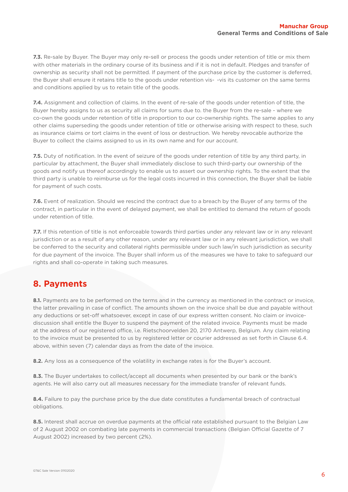<span id="page-5-0"></span>**7.3.** Re-sale by Buyer. The Buyer may only re-sell or process the goods under retention of title or mix them with other materials in the ordinary course of its business and if it is not in default. Pledges and transfer of ownership as security shall not be permitted. If payment of the purchase price by the customer is deferred, the Buyer shall ensure it retains title to the goods under retention vis- -vis its customer on the same terms and conditions applied by us to retain title of the goods.

**7.4.** Assignment and collection of claims. In the event of re-sale of the goods under retention of title, the Buyer hereby assigns to us as security all claims for sums due to. the Buyer from the re-sale - where we co-own the goods under retention of title in proportion to our co-ownership rights. The same applies to any other claims superseding the goods under retention of title or otherwise arising with respect to these, such as insurance claims or tort claims in the event of loss or destruction. We hereby revocable authorize the Buyer to collect the claims assigned to us in its own name and for our account.

**7.5.** Duty of notification. In the event of seizure of the goods under retention of title by any third party, in particular by attachment, the Buyer shall immediately disclose to such third-party our ownership of the goods and notify us thereof accordingly to enable us to assert our ownership rights. To the extent that the third party is unable to reimburse us for the legal costs incurred in this connection, the Buyer shall be liable for payment of such costs.

**7.6.** Event of realization. Should we rescind the contract due to a breach by the Buyer of any terms of the contract, in particular in the event of delayed payment, we shall be entitled to demand the return of goods under retention of title.

**7.7.** If this retention of title is not enforceable towards third parties under any relevant law or in any relevant jurisdiction or as a result of any other reason, under any relevant law or in any relevant jurisdiction, we shall be conferred to the security and collateral rights permissible under such law/in such jurisdiction as security for due payment of the invoice. The Buyer shall inform us of the measures we have to take to safeguard our rights and shall co-operate in taking such measures.

#### **8. Payments**

**8.1.** Payments are to be performed on the terms and in the currency as mentioned in the contract or invoice, the latter prevailing in case of conflict. The amounts shown on the invoice shall be due and payable without any deductions or set-off whatsoever, except in case of our express written consent. No claim or invoicediscussion shall entitle the Buyer to suspend the payment of the related invoice. Payments must be made at the address of our registered office, i.e. Rietschoorvelden 20, 2170 Antwerp, Belgium. Any claim relating to the invoice must be presented to us by registered letter or courier addressed as set forth in Clause 6.4. above, within seven (7) calendar days as from the date of the invoice.

**8.2.** Any loss as a consequence of the volatility in exchange rates is for the Buyer's account.

8.3. The Buyer undertakes to collect/accept all documents when presented by our bank or the bank's agents. He will also carry out all measures necessary for the immediate transfer of relevant funds.

**8.4.** Failure to pay the purchase price by the due date constitutes a fundamental breach of contractual obligations.

**8.5.** Interest shall accrue on overdue payments at the official rate established pursuant to the Belgian Law of 2 August 2002 on combating late payments in commercial transactions (Belgian Official Gazette of 7 August 2002) increased by two percent (2%).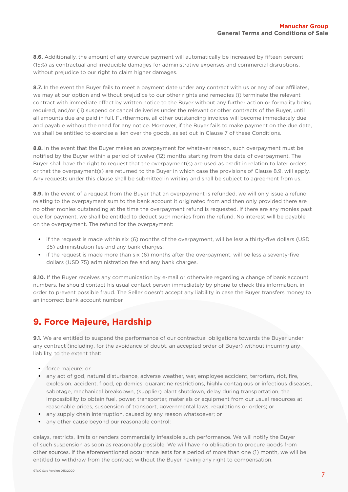<span id="page-6-0"></span>**8.6.** Additionally, the amount of any overdue payment will automatically be increased by fifteen percent (15%) as contractual and irreducible damages for administrative expenses and commercial disruptions, without prejudice to our right to claim higher damages.

**8.7.** In the event the Buyer fails to meet a payment date under any contract with us or any of our affiliates, we may at our option and without prejudice to our other rights and remedies (i) terminate the relevant contract with immediate effect by written notice to the Buyer without any further action or formality being required, and/or (ii) suspend or cancel deliveries under the relevant or other contracts of the Buyer, until all amounts due are paid in full. Furthermore, all other outstanding invoices will become immediately due and payable without the need for any notice. Moreover, if the Buyer fails to make payment on the due date, we shall be entitled to exercise a lien over the goods, as set out in Clause 7 of these Conditions.

**8.8.** In the event that the Buyer makes an overpayment for whatever reason, such overpayment must be notified by the Buyer within a period of twelve (12) months starting from the date of overpayment. The Buyer shall have the right to request that the overpayment(s) are used as credit in relation to later orders or that the overpayment(s) are returned to the Buyer in which case the provisions of Clause 8.9. will apply. Any requests under this clause shall be submitted in writing and shall be subject to agreement from us.

**8.9.** In the event of a request from the Buyer that an overpayment is refunded, we will only issue a refund relating to the overpayment sum to the bank account it originated from and then only provided there are no other monies outstanding at the time the overpayment refund is requested. If there are any monies past due for payment, we shall be entitled to deduct such monies from the refund. No interest will be payable on the overpayment. The refund for the overpayment:

- **•** if the request is made within six (6) months of the overpayment, will be less a thirty-five dollars (USD 35) administration fee and any bank charges;
- **•** if the request is made more than six (6) months after the overpayment, will be less a seventy-five dollars (USD 75) administration fee and any bank charges.

8.10. If the Buyer receives any communication by e-mail or otherwise regarding a change of bank account numbers, he should contact his usual contact person immediately by phone to check this information, in order to prevent possible fraud. The Seller doesn't accept any liability in case the Buyer transfers money to an incorrect bank account number.

#### **9. Force Majeure, Hardship**

**9.1.** We are entitled to suspend the performance of our contractual obligations towards the Buyer under any contract (including, for the avoidance of doubt, an accepted order of Buyer) without incurring any liability, to the extent that:

- **•** force majeure; or
- **•** any act of god, natural disturbance, adverse weather, war, employee accident, terrorism, riot, fire, explosion, accident, flood, epidemics, quarantine restrictions, highly contagious or infectious diseases, sabotage, mechanical breakdown, (supplier) plant shutdown, delay during transportation, the impossibility to obtain fuel, power, transporter, materials or equipment from our usual resources at reasonable prices, suspension of transport, governmental laws, regulations or orders; or
- **•** any supply chain interruption, caused by any reason whatsoever; or
- **•** any other cause beyond our reasonable control;

delays, restricts, limits or renders commercially infeasible such performance. We will notify the Buyer of such suspension as soon as reasonably possible. We will have no obligation to procure goods from other sources. If the aforementioned occurrence lasts for a period of more than one (1) month, we will be entitled to withdraw from the contract without the Buyer having any right to compensation.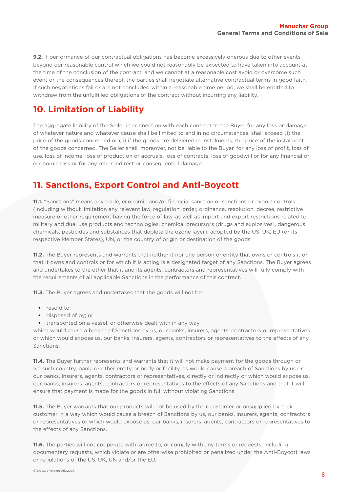<span id="page-7-0"></span>**9.2.** If performance of our contractual obligations has become excessively onerous due to other events beyond our reasonable control which we could not reasonably be expected to have taken into account at the time of the conclusion of the contract, and we cannot at a reasonable cost avoid or overcome such event or the consequences thereof, the parties shall negotiate alternative contractual terms in good faith. If such negotiations fail or are not concluded within a reasonable time period, we shall be entitled to withdraw from the unfulfilled obligations of the contract without incurring any liability.

#### **10. Limitation of Liability**

The aggregate liability of the Seller in connection with each contract to the Buyer for any loss or damage of whatever nature and whatever cause shall be limited to and in no circumstances, shall exceed (i) the price of the goods concerned or (ii) if the goods are delivered in instalments, the price of the instalment of the goods concerned. The Seller shall, moreover, not be liable to the Buyer, for any loss of profit, loss of use, loss of income, loss of production or accruals, loss of contracts, loss of goodwill or for any financial or economic loss or for any other indirect or consequential damage.

#### **11. Sanctions, Export Control and Anti-Boycott**

**11.1.** "Sanctions" means any trade, economic and/or financial sanction or sanctions or export controls (including without limitation any relevant law, regulation, order, ordinance, resolution, decree, restrictive measure or other requirement having the force of law, as well as import and export restrictions related to military and dual use products and technologies, chemical precursors (drugs and explosives), dangerous chemicals, pesticides and substances that deplete the ozone layer), adopted by the US, UK, EU (or its respective Member States), UN, or the country of origin or destination of the goods.

**11.2.** The Buyer represents and warrants that neither it nor any person or entity that owns or controls it or that it owns and controls or for which it is acting is a designated target of any Sanctions. The Buyer agrees and undertakes to the other that it and its agents, contractors and representatives will fully comply with the requirements of all applicable Sanctions in the performance of this contract.

**11.3.** The Buyer agrees and undertakes that the goods will not be:

- **•** resold to;
- **•** disposed of by; or
- **•** transported on a vessel, or otherwise dealt with in any way

which would cause a breach of Sanctions by us, our banks, insurers, agents, contractors or representatives or which would expose us, our banks, insurers, agents, contractors or representatives to the effects of any Sanctions.

**11.4.** The Buyer further represents and warrants that it will not make payment for the goods through or via such country, bank, or other entity or body or facility, as would cause a breach of Sanctions by us or our banks, insurers, agents, contractors or representatives, directly or indirectly or which would expose us, our banks, insurers, agents, contractors or representatives to the effects of any Sanctions and that it will ensure that payment is made for the goods in full without violating Sanctions.

**11.5.** The Buyer warrants that our products will not be used by their customer or onsupplied by their customer in a way which would cause a breach of Sanctions by us, our banks, insurers, agents, contractors or representatives or which would expose us, our banks, insurers, agents, contractors or representatives to the effects of any Sanctions.

**11.6.** The parties will not cooperate with, agree to, or comply with any terms or requests, including documentary requests, which violate or are otherwise prohibited or penalized under the Anti-Boycott laws or regulations of the US, UK, UN and/or the EU.